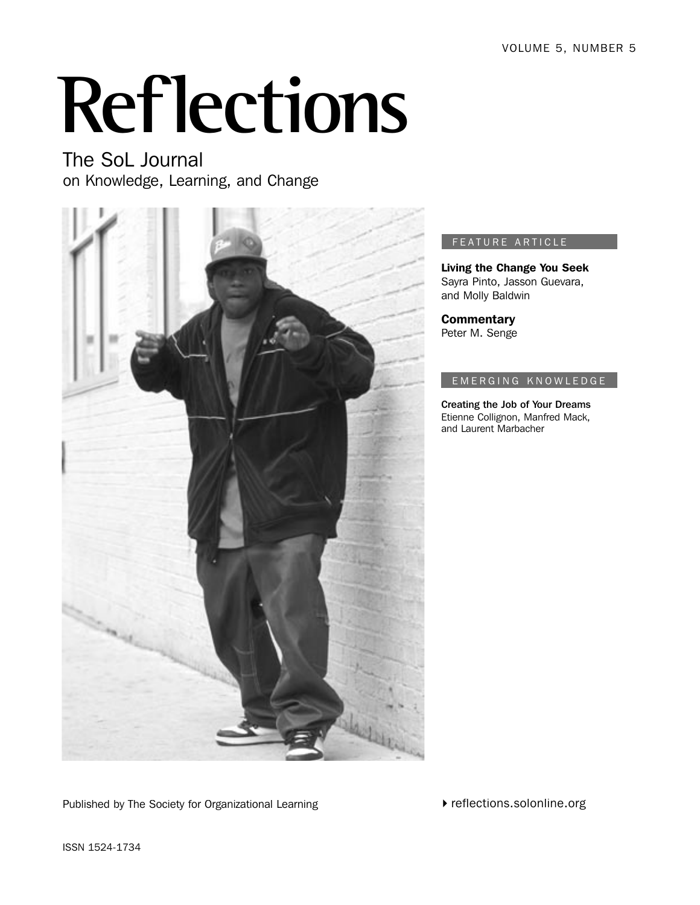VOLUME 5, NUMBER 5

# **Reflections**

The SoL Journal on Knowledge, Learning, and Change



### FEATURE ARTICLE

Living the Change You Seek Sayra Pinto, Jasson Guevara, and Molly Baldwin

**Commentary** Peter M. Senge

### EM ERGING KNOWLEDGE

Creating the Job of Your Dreams Etienne Collignon, Manfred Mack, and Laurent Marbacher

Published by The Society for Organizational Learning

 $\blacktriangleright$  reflections.solonline.org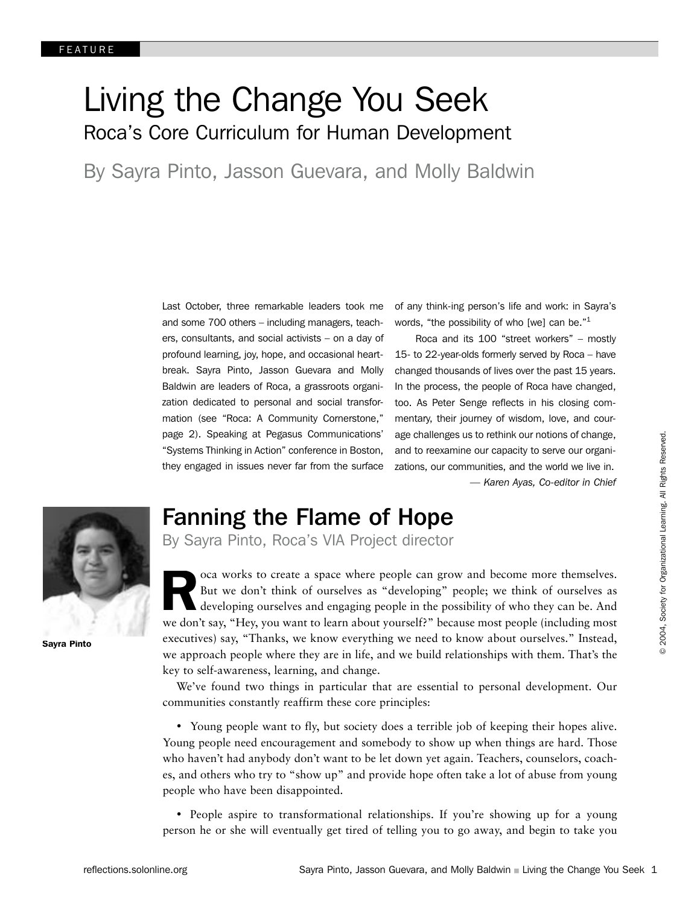# Living the Change You Seek Roca's Core Curriculum for Human Development

By Sayra Pinto, Jasson Guevara, and Molly Baldwin

Last October, three remarkable leaders took me and some 700 others – including managers, teachers, consultants, and social activists – on a day of profound learning, joy, hope, and occasional heartbreak. Sayra Pinto, Jasson Guevara and Molly Baldwin are leaders of Roca, a grassroots organization dedicated to personal and social transformation (see "Roca: A Community Cornerstone," page 2). Speaking at Pegasus Communications' "Systems Thinking in Action" conference in Boston, they engaged in issues never far from the surface of any think-ing person's life and work: in Sayra's words, "the possibility of who [we] can be."<sup>1</sup>

 Roca and its 100 "street workers" – mostly 15- to 22-year-olds formerly served by Roca – have changed thousands of lives over the past 15 years. In the process, the people of Roca have changed, too. As Peter Senge reflects in his closing commentary, their journey of wisdom, love, and courage challenges us to rethink our notions of change, and to reexamine our capacity to serve our organizations, our communities, and the world we live in. *— Karen Ayas, Co-editor in Chief*



Sayra Pinto

# Fanning the Flame of Hope

By Sayra Pinto, Roca's VIA Project director

R oca works to create a space where people can grow and become more themselves. But we don't think of ourselves as "developing" people; we think of ourselves as developing ourselves and engaging people in the possibility of who they can be. And we don't say, "Hey, you want to learn about yourself?" because most people (including most executives) say, "Thanks, we know everything we need to know about ourselves." Instead, we approach people where they are in life, and we build relationships with them. That's the key to self-awareness, learning, and change.

We've found two things in particular that are essential to personal development. Our communities constantly reaffirm these core principles:

• Young people want to fly, but society does a terrible job of keeping their hopes alive. Young people need encouragement and somebody to show up when things are hard. Those who haven't had anybody don't want to be let down yet again. Teachers, counselors, coaches, and others who try to "show up" and provide hope often take a lot of abuse from young people who have been disappointed.

• People aspire to transformational relationships. If you're showing up for a young person he or she will eventually get tired of telling you to go away, and begin to take you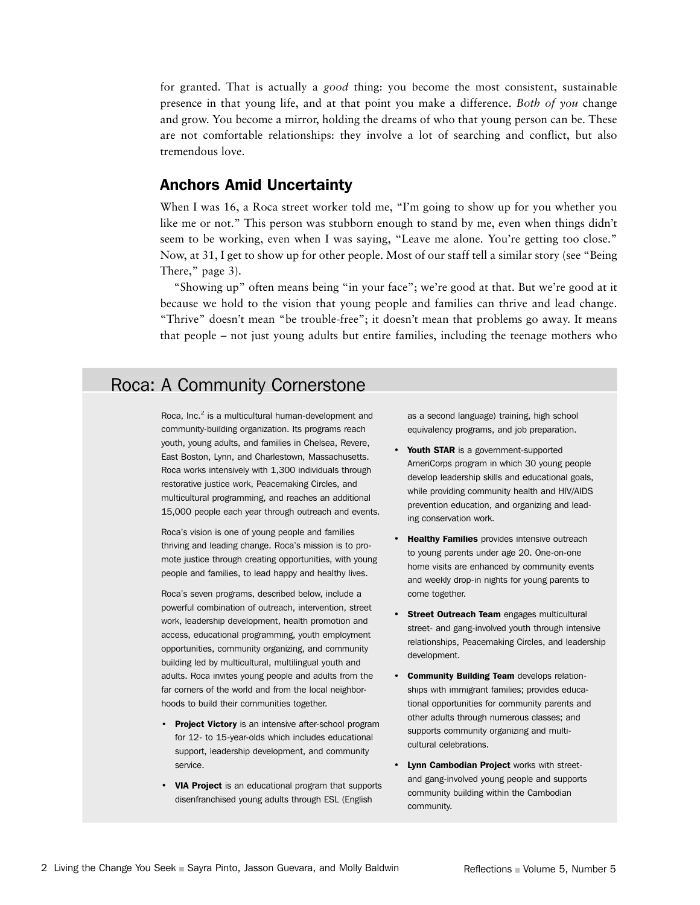for granted. That is actually a *good* thing: you become the most consistent, sustainable presence in that young life, and at that point you make a difference. *Both of you* change and grow. You become a mirror, holding the dreams of who that young person can be. These are not comfortable relationships: they involve a lot of searching and conflict, but also tremendous love.

### Anchors Amid Uncertainty

When I was 16, a Roca street worker told me, "I'm going to show up for you whether you like me or not." This person was stubborn enough to stand by me, even when things didn't seem to be working, even when I was saying, "Leave me alone. You're getting too close." Now, at 31, I get to show up for other people. Most of our staff tell a similar story (see "Being There," page 3).

"Showing up" often means being "in your face"; we're good at that. But we're good at it because we hold to the vision that young people and families can thrive and lead change. "Thrive" doesn't mean "be trouble-free"; it doesn't mean that problems go away. It means that people – not just young adults but entire families, including the teenage mothers who

# Roca: A Community Cornerstone

Roca, Inc. $2$  is a multicultural human-development and community-building organization. Its programs reach youth, young adults, and families in Chelsea, Revere, East Boston, Lynn, and Charlestown, Massachusetts. Roca works intensively with 1,300 individuals through restorative justice work, Peacemaking Circles, and multicultural programming, and reaches an additional 15,000 people each year through outreach and events.

Roca's vision is one of young people and families thriving and leading change. Roca's mission is to promote justice through creating opportunities, with young people and families, to lead happy and healthy lives.

Roca's seven programs, described below, include a powerful combination of outreach, intervention, street work, leadership development, health promotion and access, educational programming, youth employment opportunities, community organizing, and community building led by multicultural, multilingual youth and adults. Roca invites young people and adults from the far corners of the world and from the local neighborhoods to build their communities together.

- Project Victory is an intensive after-school program for 12- to 15-year-olds which includes educational support, leadership development, and community service.
- VIA Project is an educational program that supports disenfranchised young adults through ESL (English

as a second language) training, high school equivalency programs, and job preparation.

- Youth STAR is a government-supported AmeriCorps program in which 30 young people develop leadership skills and educational goals, while providing community health and HIV/AIDS prevention education, and organizing and leading conservation work.
- Healthy Families provides intensive outreach to young parents under age 20. One-on-one home visits are enhanced by community events and weekly drop-in nights for young parents to come together.
- Street Outreach Team engages multicultural street- and gang-involved youth through intensive relationships, Peacemaking Circles, and leadership development.
- Community Building Team develops relationships with immigrant families; provides educational opportunities for community parents and other adults through numerous classes; and supports community organizing and multicultural celebrations.
- Lynn Cambodian Project works with streetand gang-involved young people and supports community building within the Cambodian community.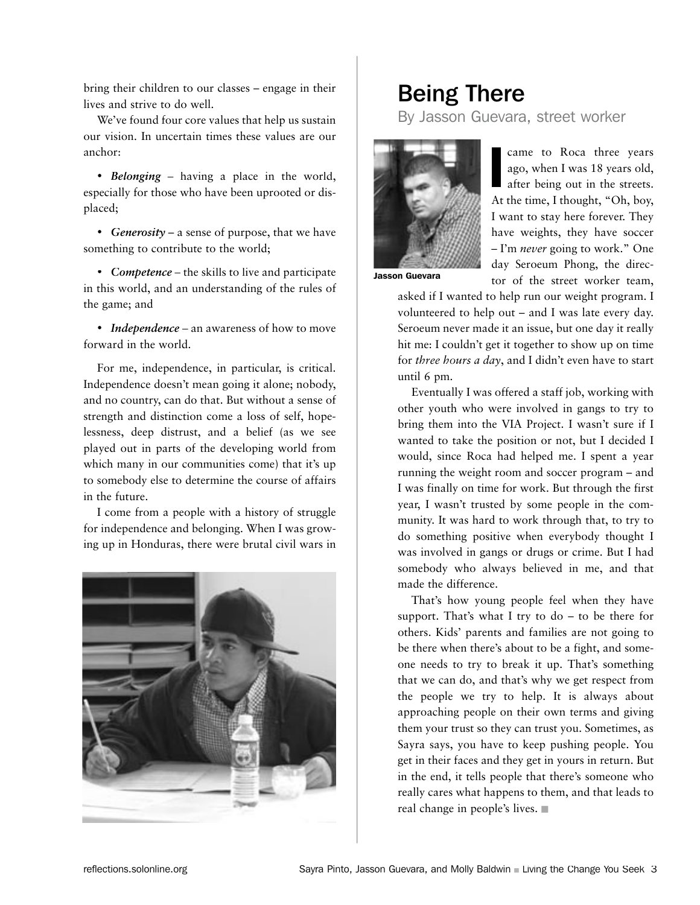bring their children to our classes – engage in their lives and strive to do well.

We've found four core values that help us sustain our vision. In uncertain times these values are our anchor:

• *Belonging –* having a place in the world, especially for those who have been uprooted or displaced;

• *Generosity* – a sense of purpose, that we have something to contribute to the world;

• *Competence –* the skills to live and participate in this world, and an understanding of the rules of the game; and

• *Independence* – an awareness of how to move forward in the world.

For me, independence, in particular, is critical. Independence doesn't mean going it alone; nobody, and no country, can do that. But without a sense of strength and distinction come a loss of self, hopelessness, deep distrust, and a belief (as we see played out in parts of the developing world from which many in our communities come) that it's up to somebody else to determine the course of affairs in the future.

I come from a people with a history of struggle for independence and belonging. When I was growing up in Honduras, there were brutal civil wars in



# Being There

By Jasson Guevara, street worker



came to Roca three years ago, when I was 18 years old, after being out in the streets. At the time, I thought, "Oh, boy, I want to stay here forever. They have weights, they have soccer – I'm *never* going to work." One day Seroeum Phong, the director of the street worker team, I

Jasson Guevara

asked if I wanted to help run our weight program. I volunteered to help out – and I was late every day. Seroeum never made it an issue, but one day it really hit me: I couldn't get it together to show up on time for *three hours a day*, and I didn't even have to start until 6 pm.

Eventually I was offered a staff job, working with other youth who were involved in gangs to try to bring them into the VIA Project. I wasn't sure if I wanted to take the position or not, but I decided I would, since Roca had helped me. I spent a year running the weight room and soccer program – and I was finally on time for work. But through the first year, I wasn't trusted by some people in the community. It was hard to work through that, to try to do something positive when everybody thought I was involved in gangs or drugs or crime. But I had somebody who always believed in me, and that made the difference.

That's how young people feel when they have support. That's what I try to  $do - to be$  there for others. Kids' parents and families are not going to be there when there's about to be a fight, and someone needs to try to break it up. That's something that we can do, and that's why we get respect from the people we try to help. It is always about approaching people on their own terms and giving them your trust so they can trust you. Sometimes, as Sayra says, you have to keep pushing people. You get in their faces and they get in yours in return. But in the end, it tells people that there's someone who really cares what happens to them, and that leads to real change in people's lives. �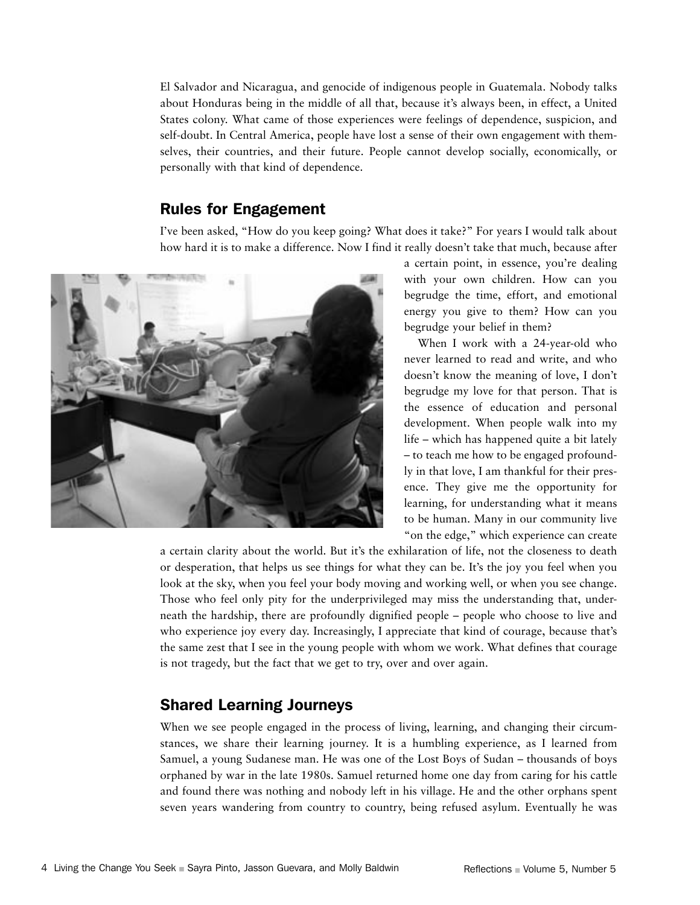El Salvador and Nicaragua, and genocide of indigenous people in Guatemala. Nobody talks about Honduras being in the middle of all that, because it's always been, in effect, a United States colony. What came of those experiences were feelings of dependence, suspicion, and self-doubt. In Central America, people have lost a sense of their own engagement with themselves, their countries, and their future. People cannot develop socially, economically, or personally with that kind of dependence.

### Rules for Engagement

I've been asked, "How do you keep going? What does it take?" For years I would talk about how hard it is to make a difference. Now I find it really doesn't take that much, because after



a certain point, in essence, you're dealing with your own children. How can you begrudge the time, effort, and emotional energy you give to them? How can you begrudge your belief in them?

When I work with a 24-year-old who never learned to read and write, and who doesn't know the meaning of love, I don't begrudge my love for that person. That is the essence of education and personal development. When people walk into my life – which has happened quite a bit lately – to teach me how to be engaged profoundly in that love, I am thankful for their presence. They give me the opportunity for learning, for understanding what it means to be human. Many in our community live "on the edge," which experience can create

a certain clarity about the world. But it's the exhilaration of life, not the closeness to death or desperation, that helps us see things for what they can be. It's the joy you feel when you look at the sky, when you feel your body moving and working well, or when you see change. Those who feel only pity for the underprivileged may miss the understanding that, underneath the hardship, there are profoundly dignified people – people who choose to live and who experience joy every day. Increasingly, I appreciate that kind of courage, because that's the same zest that I see in the young people with whom we work. What defines that courage is not tragedy, but the fact that we get to try, over and over again.

### Shared Learning Journeys

When we see people engaged in the process of living, learning, and changing their circumstances, we share their learning journey. It is a humbling experience, as I learned from Samuel, a young Sudanese man. He was one of the Lost Boys of Sudan – thousands of boys orphaned by war in the late 1980s. Samuel returned home one day from caring for his cattle and found there was nothing and nobody left in his village. He and the other orphans spent seven years wandering from country to country, being refused asylum. Eventually he was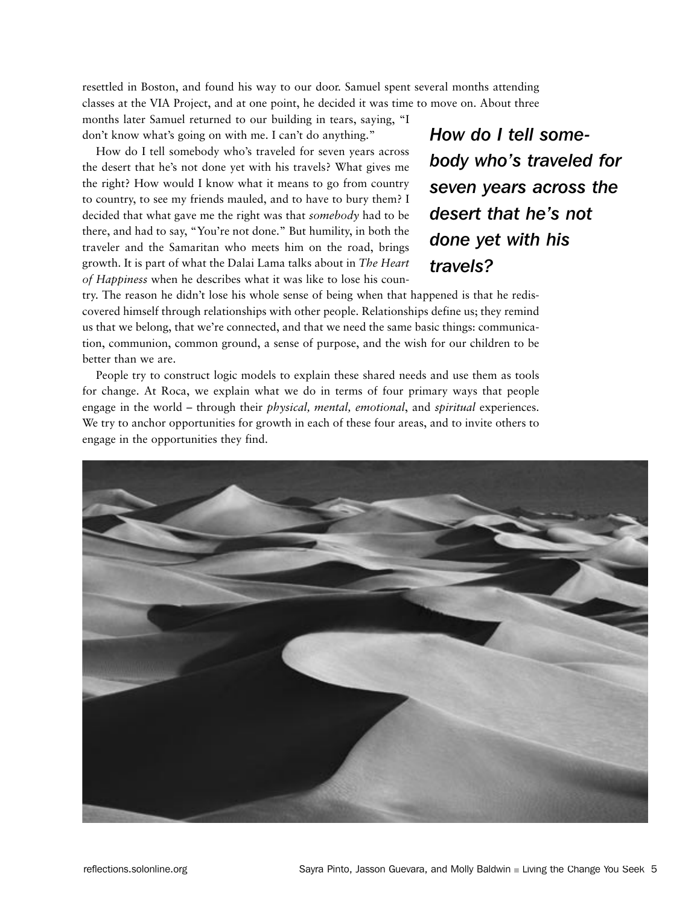resettled in Boston, and found his way to our door. Samuel spent several months attending classes at the VIA Project, and at one point, he decided it was time to move on. About three

months later Samuel returned to our building in tears, saying, "I don't know what's going on with me. I can't do anything."

How do I tell somebody who's traveled for seven years across the desert that he's not done yet with his travels? What gives me the right? How would I know what it means to go from country to country, to see my friends mauled, and to have to bury them? I decided that what gave me the right was that *somebody* had to be there, and had to say, "You're not done." But humility, in both the traveler and the Samaritan who meets him on the road, brings growth. It is part of what the Dalai Lama talks about in *The Heart of Happiness* when he describes what it was like to lose his coun*How do I tell somebody who's traveled for seven years across the desert that he's not done yet with his travels?*

try. The reason he didn't lose his whole sense of being when that happened is that he rediscovered himself through relationships with other people. Relationships define us; they remind us that we belong, that we're connected, and that we need the same basic things: communication, communion, common ground, a sense of purpose, and the wish for our children to be better than we are.

People try to construct logic models to explain these shared needs and use them as tools for change. At Roca, we explain what we do in terms of four primary ways that people engage in the world – through their *physical, mental, emotional*, and *spiritual* experiences. We try to anchor opportunities for growth in each of these four areas, and to invite others to engage in the opportunities they find.

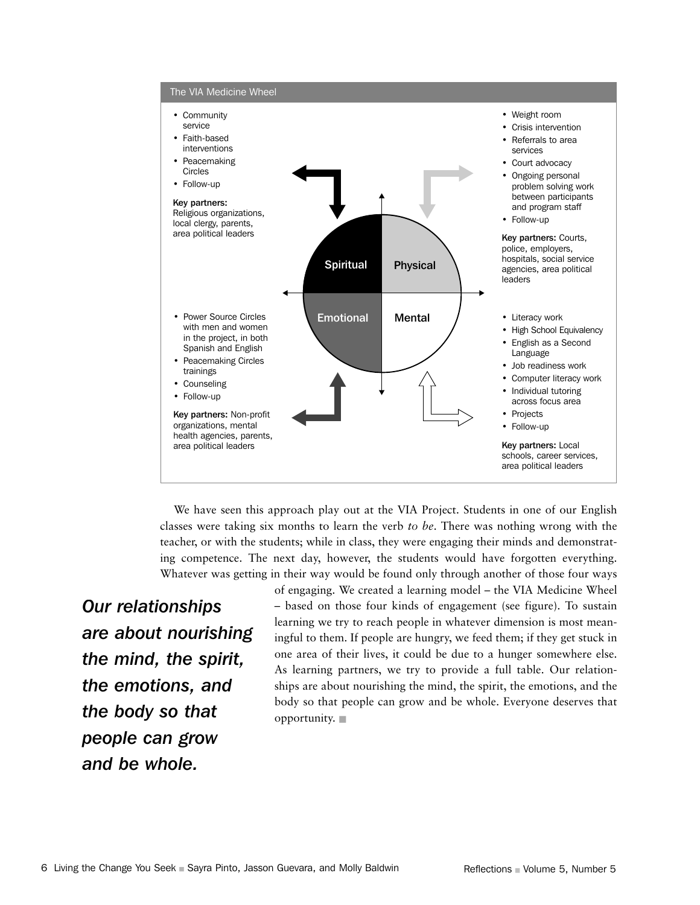

We have seen this approach play out at the VIA Project. Students in one of our English classes were taking six months to learn the verb *to be*. There was nothing wrong with the teacher, or with the students; while in class, they were engaging their minds and demonstrating competence. The next day, however, the students would have forgotten everything. Whatever was getting in their way would be found only through another of those four ways

*Our relationships are about nourishing the mind, the spirit, the emotions, and the body so that people can grow and be whole.*

of engaging. We created a learning model – the VIA Medicine Wheel – based on those four kinds of engagement (see figure). To sustain learning we try to reach people in whatever dimension is most meaningful to them. If people are hungry, we feed them; if they get stuck in one area of their lives, it could be due to a hunger somewhere else. As learning partners, we try to provide a full table. Our relationships are about nourishing the mind, the spirit, the emotions, and the body so that people can grow and be whole. Everyone deserves that opportunity. �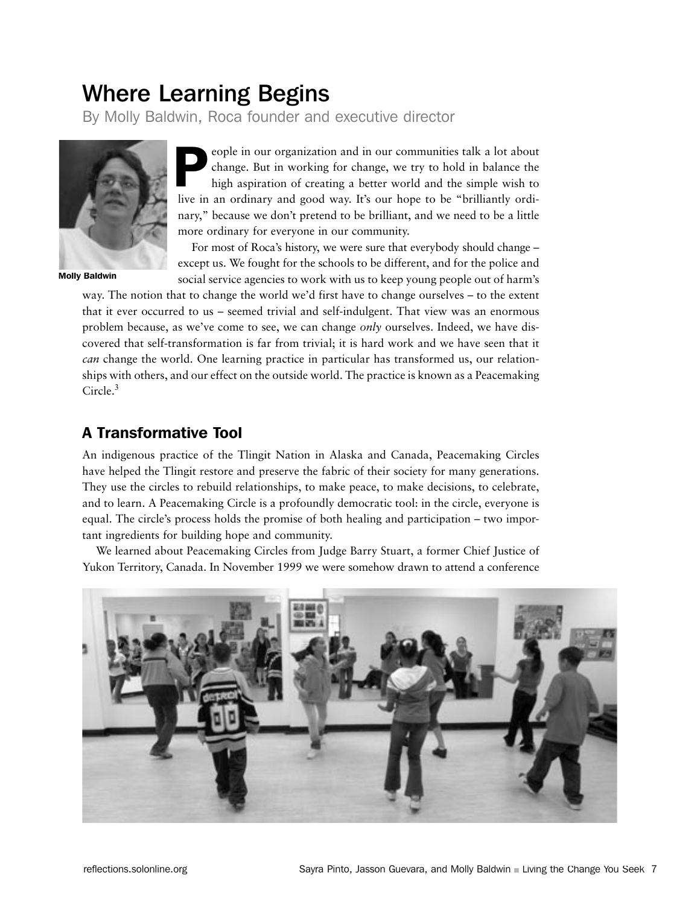# Where Learning Begins

By Molly Baldwin, Roca founder and executive director



Molly Baldwin

eople in our organization and in our communities talk a lot about change. But in working for change, we try to hold in balance the high aspiration of creating a better world and the simple wish to live in an ordinary and good way. It's our hope to be "brilliantly ordinary," because we don't pretend to be brilliant, and we need to be a little more ordinary for everyone in our community. P

For most of Roca's history, we were sure that everybody should change – except us. We fought for the schools to be different, and for the police and social service agencies to work with us to keep young people out of harm's

way. The notion that to change the world we'd first have to change ourselves – to the extent that it ever occurred to us – seemed trivial and self-indulgent. That view was an enormous problem because, as we've come to see, we can change *only* ourselves. Indeed, we have discovered that self-transformation is far from trivial; it is hard work and we have seen that it *can* change the world. One learning practice in particular has transformed us, our relationships with others, and our effect on the outside world. The practice is known as a Peacemaking Circle.<sup>3</sup>

# A Transformative Tool

An indigenous practice of the Tlingit Nation in Alaska and Canada, Peacemaking Circles have helped the Tlingit restore and preserve the fabric of their society for many generations. They use the circles to rebuild relationships, to make peace, to make decisions, to celebrate, and to learn. A Peacemaking Circle is a profoundly democratic tool: in the circle, everyone is equal. The circle's process holds the promise of both healing and participation – two important ingredients for building hope and community.

We learned about Peacemaking Circles from Judge Barry Stuart, a former Chief Justice of Yukon Territory, Canada. In November 1999 we were somehow drawn to attend a conference

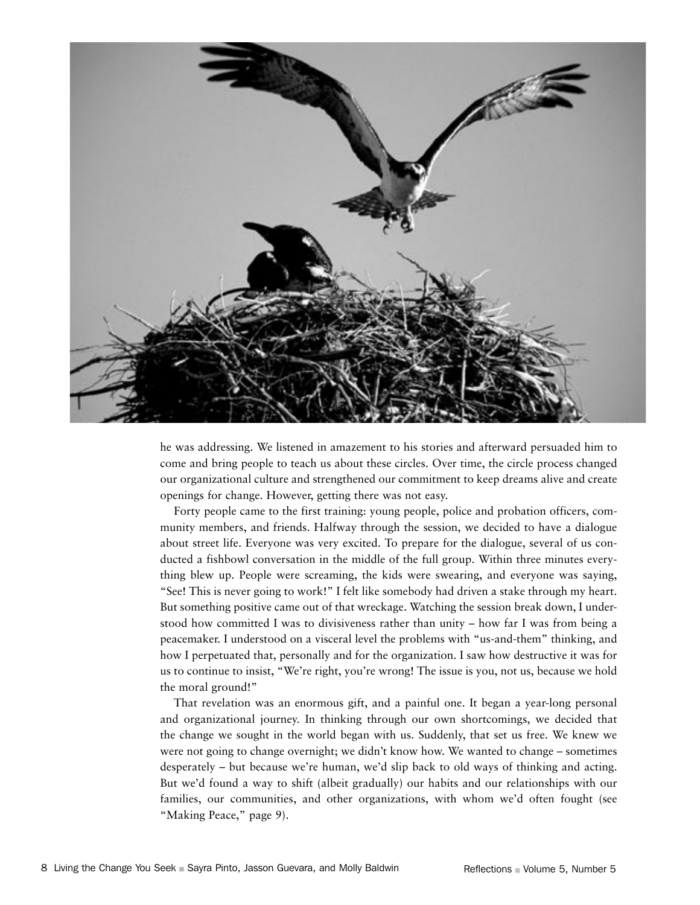

he was addressing. We listened in amazement to his stories and afterward persuaded him to come and bring people to teach us about these circles. Over time, the circle process changed our organizational culture and strengthened our commitment to keep dreams alive and create openings for change. However, getting there was not easy.

Forty people came to the first training: young people, police and probation officers, community members, and friends. Halfway through the session, we decided to have a dialogue about street life. Everyone was very excited. To prepare for the dialogue, several of us conducted a fishbowl conversation in the middle of the full group. Within three minutes everything blew up. People were screaming, the kids were swearing, and everyone was saying, "See! This is never going to work!" I felt like somebody had driven a stake through my heart. But something positive came out of that wreckage. Watching the session break down, I understood how committed I was to divisiveness rather than unity – how far I was from being a peacemaker. I understood on a visceral level the problems with "us-and-them" thinking, and how I perpetuated that, personally and for the organization. I saw how destructive it was for us to continue to insist, "We're right, you're wrong! The issue is you, not us, because we hold the moral ground!"

That revelation was an enormous gift, and a painful one. It began a year-long personal and organizational journey. In thinking through our own shortcomings, we decided that the change we sought in the world began with us. Suddenly, that set us free. We knew we were not going to change overnight; we didn't know how. We wanted to change – sometimes desperately – but because we're human, we'd slip back to old ways of thinking and acting. But we'd found a way to shift (albeit gradually) our habits and our relationships with our families, our communities, and other organizations, with whom we'd often fought (see "Making Peace," page 9).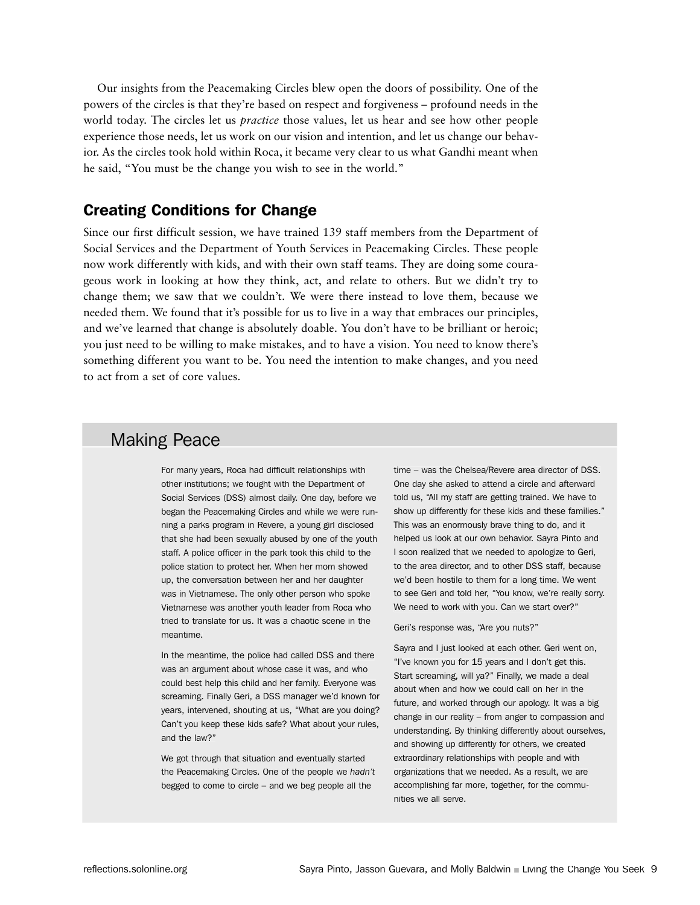Our insights from the Peacemaking Circles blew open the doors of possibility. One of the powers of the circles is that they're based on respect and forgiveness – profound needs in the world today. The circles let us *practice* those values, let us hear and see how other people experience those needs, let us work on our vision and intention, and let us change our behavior. As the circles took hold within Roca, it became very clear to us what Gandhi meant when he said, "You must be the change you wish to see in the world."

### Creating Conditions for Change

Since our first difficult session, we have trained 139 staff members from the Department of Social Services and the Department of Youth Services in Peacemaking Circles. These people now work differently with kids, and with their own staff teams. They are doing some courageous work in looking at how they think, act, and relate to others. But we didn't try to change them; we saw that we couldn't. We were there instead to love them, because we needed them. We found that it's possible for us to live in a way that embraces our principles, and we've learned that change is absolutely doable. You don't have to be brilliant or heroic; you just need to be willing to make mistakes, and to have a vision. You need to know there's something different you want to be. You need the intention to make changes, and you need to act from a set of core values.

### Making Peace

For many years, Roca had difficult relationships with other institutions; we fought with the Department of Social Services (DSS) almost daily. One day, before we began the Peacemaking Circles and while we were running a parks program in Revere, a young girl disclosed that she had been sexually abused by one of the youth staff. A police officer in the park took this child to the police station to protect her. When her mom showed up, the conversation between her and her daughter was in Vietnamese. The only other person who spoke Vietnamese was another youth leader from Roca who tried to translate for us. It was a chaotic scene in the meantime.

In the meantime, the police had called DSS and there was an argument about whose case it was, and who could best help this child and her family. Everyone was screaming. Finally Geri, a DSS manager we'd known for years, intervened, shouting at us, "What are you doing? Can't you keep these kids safe? What about your rules, and the law?"

We got through that situation and eventually started the Peacemaking Circles. One of the people we *hadn't*  begged to come to circle – and we beg people all the

time – was the Chelsea/Revere area director of DSS. One day she asked to attend a circle and afterward told us, "All my staff are getting trained. We have to show up differently for these kids and these families." This was an enormously brave thing to do, and it helped us look at our own behavior. Sayra Pinto and I soon realized that we needed to apologize to Geri, to the area director, and to other DSS staff, because we'd been hostile to them for a long time. We went to see Geri and told her, "You know, we're really sorry. We need to work with you. Can we start over?"

Geri's response was, "Are you nuts?"

Sayra and I just looked at each other. Geri went on, "I've known you for 15 years and I don't get this. Start screaming, will ya?" Finally, we made a deal about when and how we could call on her in the future, and worked through our apology. It was a big change in our reality – from anger to compassion and understanding. By thinking differently about ourselves, and showing up differently for others, we created extraordinary relationships with people and with organizations that we needed. As a result, we are accomplishing far more, together, for the communities we all serve.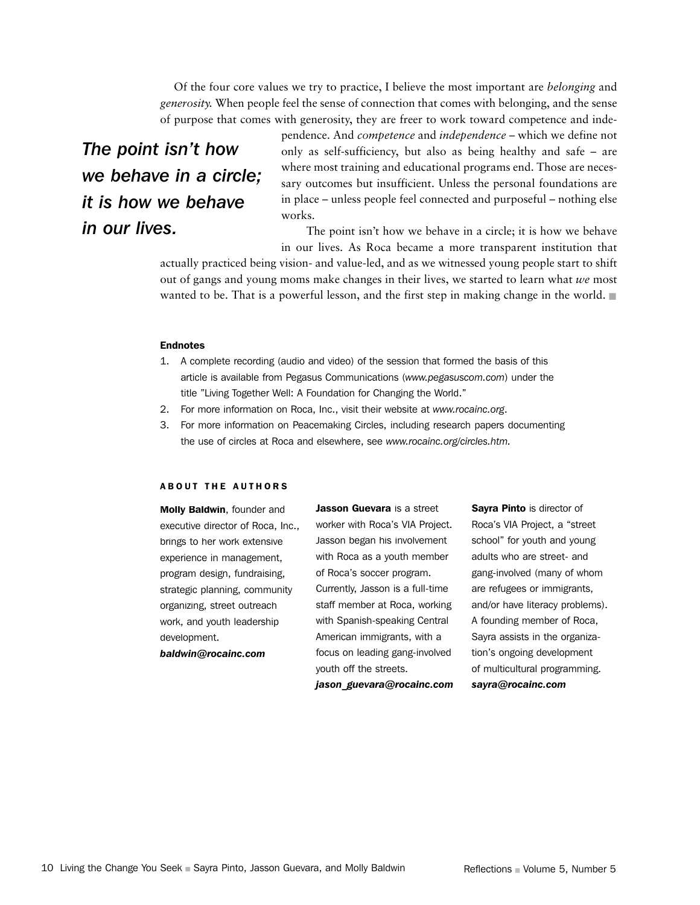Of the four core values we try to practice, I believe the most important are *belonging* and *generosity.* When people feel the sense of connection that comes with belonging, and the sense of purpose that comes with generosity, they are freer to work toward competence and inde-

# *The point isn't how we behave in a circle; it is how we behave in our lives.*

pendence. And *competence* and *independence* – which we define not only as self-sufficiency, but also as being healthy and safe – are where most training and educational programs end. Those are necessary outcomes but insufficient. Unless the personal foundations are in place – unless people feel connected and purposeful – nothing else works.

 The point isn't how we behave in a circle; it is how we behave in our lives. As Roca became a more transparent institution that

actually practiced being vision- and value-led, and as we witnessed young people start to shift out of gangs and young moms make changes in their lives, we started to learn what *we* most wanted to be. That is a powerful lesson, and the first step in making change in the world.  $\blacksquare$ 

### Endnotes

- 1. A complete recording (audio and video) of the session that formed the basis of this article is available from Pegasus Communications (*www.pegasuscom.com*) under the title "Living Together Well: A Foundation for Changing the World."
- 2. For more information on Roca, Inc., visit their website at *www.rocainc.org*.
- 3. For more information on Peacemaking Circles, including research papers documenting the use of circles at Roca and elsewhere, see *www.rocainc.org/circles.htm.*

#### A B OUT THE AUTHORS

Molly Baldwin, founder and executive director of Roca, Inc., brings to her work extensive experience in management, program design, fundraising, strategic planning, community organizing, street outreach work, and youth leadership development. *baldwin@rocainc.com*

Jasson Guevara is a street worker with Roca's VIA Project. Jasson began his involvement with Roca as a youth member of Roca's soccer program. Currently, Jasson is a full-time staff member at Roca, working with Spanish-speaking Central American immigrants, with a focus on leading gang-involved youth off the streets.

*jason\_guevara@rocainc.com* 

Sayra Pinto is director of Roca's VIA Project, a "street school" for youth and young adults who are street- and gang-involved (many of whom are refugees or immigrants, and/or have literacy problems). A founding member of Roca, Sayra assists in the organization's ongoing development of multicultural programming. *sayra@rocainc.com*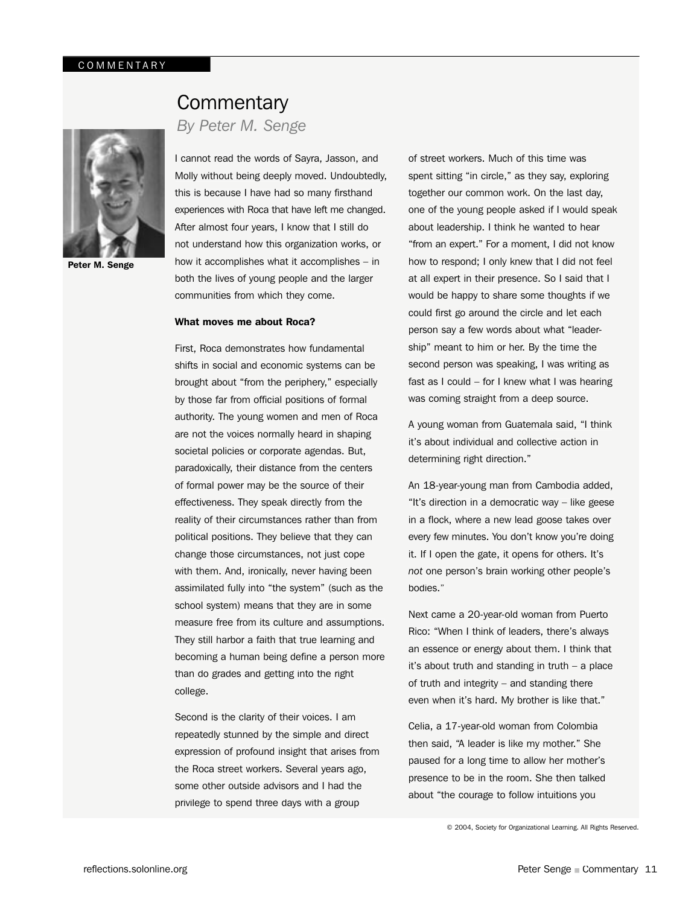

Peter M. Senge

# **Commentary**

### *By Peter M. Senge*

I cannot read the words of Sayra, Jasson, and Molly without being deeply moved. Undoubtedly, this is because I have had so many firsthand experiences with Roca that have left me changed. After almost four years, I know that I still do not understand how this organization works, or how it accomplishes what it accomplishes – in both the lives of young people and the larger communities from which they come.

#### What moves me about Roca?

First, Roca demonstrates how fundamental shifts in social and economic systems can be brought about "from the periphery," especially by those far from official positions of formal authority. The young women and men of Roca are not the voices normally heard in shaping societal policies or corporate agendas. But, paradoxically, their distance from the centers of formal power may be the source of their effectiveness. They speak directly from the reality of their circumstances rather than from political positions. They believe that they can change those circumstances, not just cope with them. And, ironically, never having been assimilated fully into "the system" (such as the school system) means that they are in some measure free from its culture and assumptions. They still harbor a faith that true learning and becoming a human being define a person more than do grades and getting into the right college.

Second is the clarity of their voices. I am repeatedly stunned by the simple and direct expression of profound insight that arises from the Roca street workers. Several years ago, some other outside advisors and I had the privilege to spend three days with a group

of street workers. Much of this time was spent sitting "in circle," as they say, exploring together our common work. On the last day, one of the young people asked if I would speak about leadership. I think he wanted to hear "from an expert." For a moment, I did not know how to respond; I only knew that I did not feel at all expert in their presence. So I said that I would be happy to share some thoughts if we could first go around the circle and let each person say a few words about what "leadership" meant to him or her. By the time the second person was speaking, I was writing as fast as I could – for I knew what I was hearing was coming straight from a deep source.

A young woman from Guatemala said, "I think it's about individual and collective action in determining right direction."

An 18-year-young man from Cambodia added, "It's direction in a democratic way – like geese in a flock, where a new lead goose takes over every few minutes. You don't know you're doing it. If I open the gate, it opens for others. It's *not* one person's brain working other people's bodies."

Next came a 20-year-old woman from Puerto Rico: "When I think of leaders, there's always an essence or energy about them. I think that it's about truth and standing in truth – a place of truth and integrity – and standing there even when it's hard. My brother is like that."

Celia, a 17-year-old woman from Colombia then said, "A leader is like my mother." She paused for a long time to allow her mother's presence to be in the room. She then talked about "the courage to follow intuitions you

© 2004, Society for Organizational Learning. All Rights Reserved.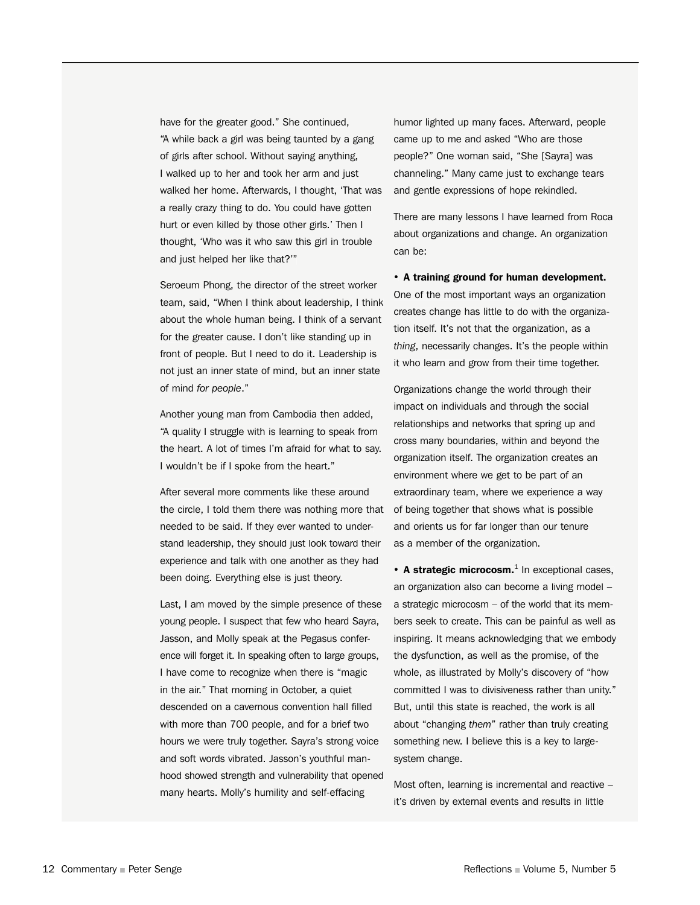have for the greater good." She continued, "A while back a girl was being taunted by a gang of girls after school. Without saying anything, I walked up to her and took her arm and just walked her home. Afterwards, I thought, 'That was a really crazy thing to do. You could have gotten hurt or even killed by those other girls.' Then I thought, 'Who was it who saw this girl in trouble and just helped her like that?'"

Seroeum Phong, the director of the street worker team, said, "When I think about leadership, I think about the whole human being. I think of a servant for the greater cause. I don't like standing up in front of people. But I need to do it. Leadership is not just an inner state of mind, but an inner state of mind *for people*."

Another young man from Cambodia then added, "A quality I struggle with is learning to speak from the heart. A lot of times I'm afraid for what to say. I wouldn't be if I spoke from the heart."

After several more comments like these around the circle, I told them there was nothing more that needed to be said. If they ever wanted to understand leadership, they should just look toward their experience and talk with one another as they had been doing. Everything else is just theory.

Last, I am moved by the simple presence of these young people. I suspect that few who heard Sayra, Jasson, and Molly speak at the Pegasus conference will forget it. In speaking often to large groups, I have come to recognize when there is "magic in the air." That morning in October, a quiet descended on a cavernous convention hall filled with more than 700 people, and for a brief two hours we were truly together. Sayra's strong voice and soft words vibrated. Jasson's youthful manhood showed strength and vulnerability that opened many hearts. Molly's humility and self-effacing

humor lighted up many faces. Afterward, people came up to me and asked "Who are those people?" One woman said, "She [Sayra] was channeling." Many came just to exchange tears and gentle expressions of hope rekindled.

There are many lessons I have learned from Roca about organizations and change. An organization can be:

• A training ground for human development. One of the most important ways an organization creates change has little to do with the organization itself. It's not that the organization, as a *thing*, necessarily changes. It's the people within it who learn and grow from their time together.

Organizations change the world through their impact on individuals and through the social relationships and networks that spring up and cross many boundaries, within and beyond the organization itself. The organization creates an environment where we get to be part of an extraordinary team, where we experience a way of being together that shows what is possible and orients us for far longer than our tenure as a member of the organization.

 $\cdot$  A strategic microcosm. $^1$  In exceptional cases, an organization also can become a living model – a strategic microcosm – of the world that its members seek to create. This can be painful as well as inspiring. It means acknowledging that we embody the dysfunction, as well as the promise, of the whole, as illustrated by Molly's discovery of "how committed I was to divisiveness rather than unity." But, until this state is reached, the work is all about "changing *them*" rather than truly creating something new. I believe this is a key to largesystem change.

Most often, learning is incremental and reactive – it's driven by external events and results in little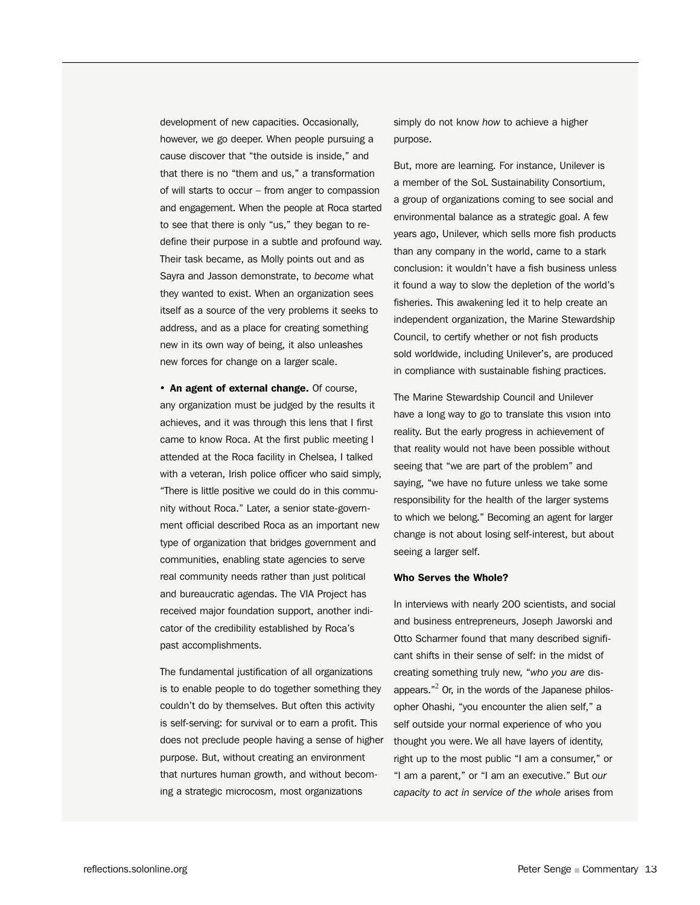development of new capacities. Occasionally, however, we go deeper. When people pursuing a cause discover that "the outside is inside," and that there is no "them and us," a transformation of will starts to occur – from anger to compassion and engagement. When the people at Roca started to see that there is only "us," they began to redefine their purpose in a subtle and profound way. Their task became, as Molly points out and as Sayra and Jasson demonstrate, to *become* what they wanted to exist. When an organization sees itself as a source of the very problems it seeks to address, and as a place for creating something new in its own way of being, it also unleashes new forces for change on a larger scale.

• An agent of external change. Of course, any organization must be judged by the results it achieves, and it was through this lens that I first came to know Roca. At the first public meeting I attended at the Roca facility in Chelsea, I talked with a veteran, Irish police officer who said simply, "There is little positive we could do in this community without Roca." Later, a senior state-government official described Roca as an important new type of organization that bridges government and communities, enabling state agencies to serve real community needs rather than just political and bureaucratic agendas. The VIA Project has received major foundation support, another indicator of the credibility established by Roca's past accomplishments.

The fundamental justification of all organizations is to enable people to do together something they couldn't do by themselves. But often this activity is self-serving: for survival or to earn a profit. This does not preclude people having a sense of higher purpose. But, without creating an environment that nurtures human growth, and without becoming a strategic microcosm, most organizations

simply do not know *how* to achieve a higher purpose.

But, more are learning. For instance, Unilever is a member of the SoL Sustainability Consortium, a group of organizations coming to see social and environmental balance as a strategic goal. A few years ago, Unilever, which sells more fish products than any company in the world, came to a stark conclusion: it wouldn't have a fish business unless it found a way to slow the depletion of the world's fisheries. This awakening led it to help create an independent organization, the Marine Stewardship Council, to certify whether or not fish products sold worldwide, including Unilever's, are produced in compliance with sustainable fishing practices.

The Marine Stewardship Council and Unilever have a long way to go to translate this vision into reality. But the early progress in achievement of that reality would not have been possible without seeing that "we are part of the problem" and saying, "we have no future unless we take some responsibility for the health of the larger systems to which we belong." Becoming an agent for larger change is not about losing self-interest, but about seeing a larger self.

#### Who Serves the Whole?

In interviews with nearly 200 scientists, and social and business entrepreneurs, Joseph Jaworski and Otto Scharmer found that many described significant shifts in their sense of self: in the midst of creating something truly new, "*who you are* disappears."<sup>2</sup> Or, in the words of the Japanese philosopher Ohashi, "you encounter the alien self," a self outside your normal experience of who you thought you were. We all have layers of identity, right up to the most public "I am a consumer," or "I am a parent," or "I am an executive." But *our capacity to act in service of the whole* arises from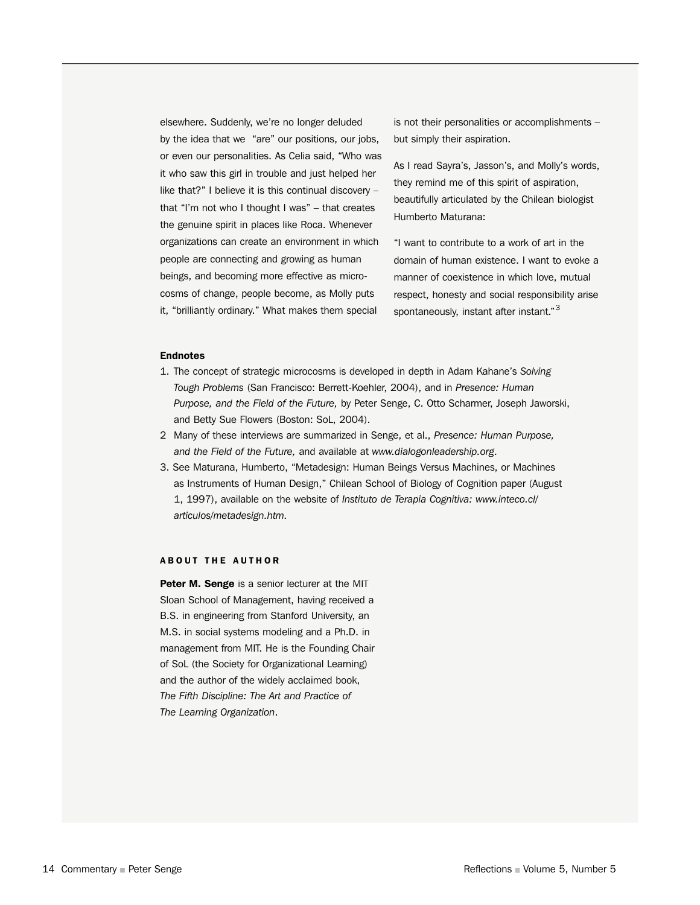elsewhere. Suddenly, we're no longer deluded by the idea that we "are" our positions, our jobs, or even our personalities. As Celia said, "Who was it who saw this girl in trouble and just helped her like that?" I believe it is this continual discovery – that "I'm not who I thought I was" – that creates the genuine spirit in places like Roca. Whenever organizations can create an environment in which people are connecting and growing as human beings, and becoming more effective as microcosms of change, people become, as Molly puts it, "brilliantly ordinary." What makes them special

is not their personalities or accomplishments – but simply their aspiration.

As I read Sayra's, Jasson's, and Molly's words, they remind me of this spirit of aspiration, beautifully articulated by the Chilean biologist Humberto Maturana:

"I want to contribute to a work of art in the domain of human existence. I want to evoke a manner of coexistence in which love, mutual respect, honesty and social responsibility arise spontaneously, instant after instant."<sup>3</sup>

#### Endnotes

- 1. The concept of strategic microcosms is developed in depth in Adam Kahane's *Solving Tough Problems* (San Francisco: Berrett-Koehler, 2004), and in *Presence: Human Purpose, and the Field of the Future,* by Peter Senge, C. Otto Scharmer, Joseph Jaworski, and Betty Sue Flowers (Boston: SoL, 2004).
- 2 Many of these interviews are summarized in Senge, et al., *Presence: Human Purpose, and the Field of the Future,* and available at *www.dialogonleadership.org*.
- 3. See Maturana, Humberto, "Metadesign: Human Beings Versus Machines, or Machines as Instruments of Human Design," Chilean School of Biology of Cognition paper (August 1, 1997), available on the website of *Instituto de Terapia Cognitiva: www.inteco.cl/ articulos/metadesign.htm.*

#### **ABOUT THE AUTHOR**

Peter M. Senge is a senior lecturer at the MIT Sloan School of Management, having received a B.S. in engineering from Stanford University, an M.S. in social systems modeling and a Ph.D. in management from MIT. He is the Founding Chair of SoL (the Society for Organizational Learning) and the author of the widely acclaimed book, *The Fifth Discipline: The Art and Practice of The Learning Organization*.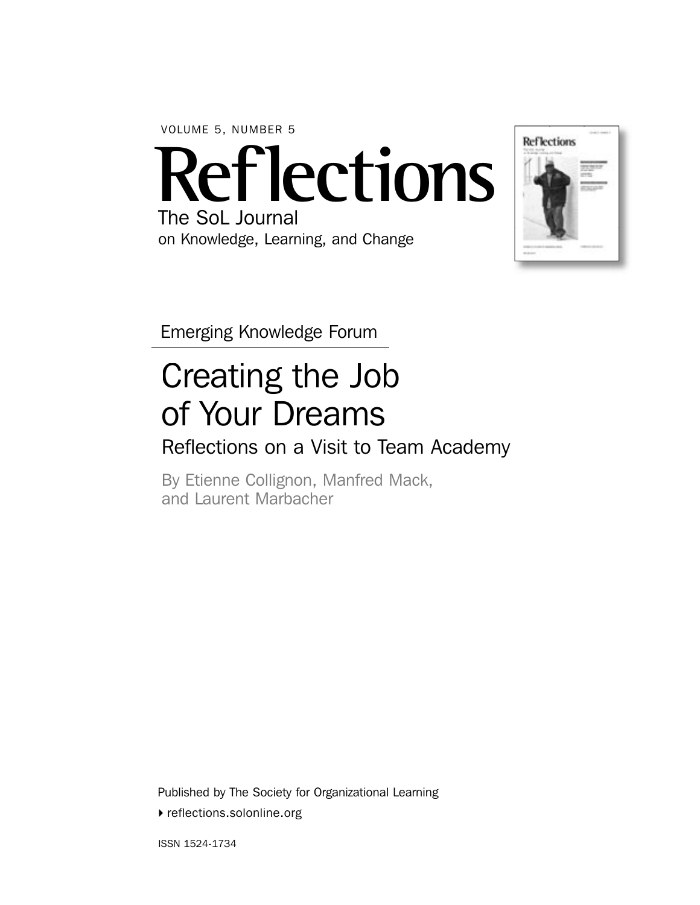VOLUME 5, NUMBER 5

**Reflections** The SoL Journal

on Knowledge, Learning, and Change



Emerging Knowledge Forum

# Creating the Job of Your Dreams

# Reflections on a Visit to Team Academy

By Etienne Collignon, Manfred Mack, and Laurent Marbacher

Published by The Society for Organizational Learning

▶ reflections.solonline.org

ISSN 1524-1734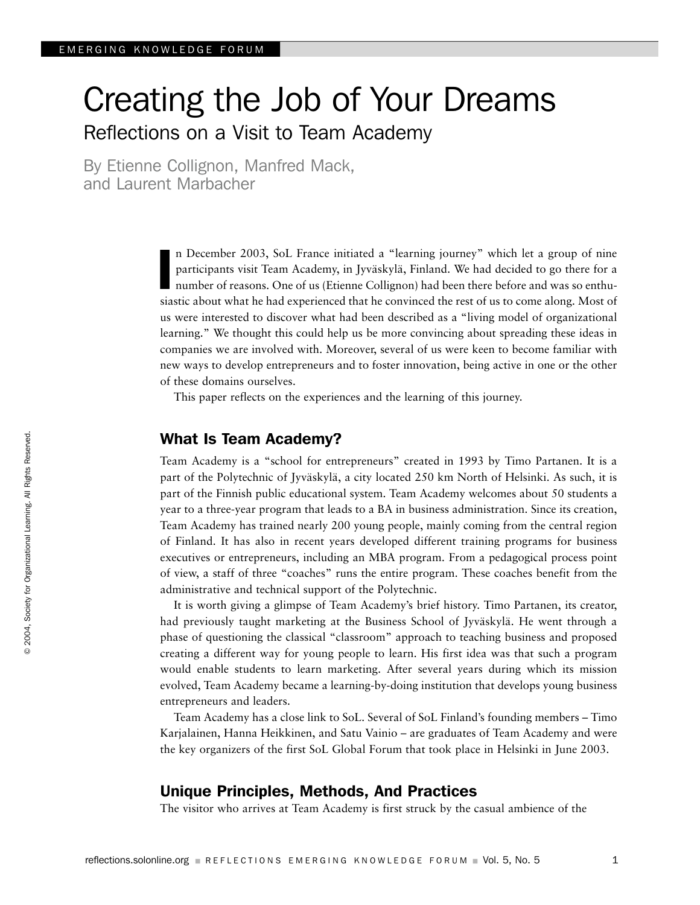# Creating the Job of Your Dreams Reflections on a Visit to Team Academy

By Etienne Collignon, Manfred Mack, and Laurent Marbacher

> n December 2003, SoL France initiated a "learning journey" which let a group of nine participants visit Team Academy, in Jyväskylä, Finland. We had decided to go there for a number of reasons. One of us (Etienne Collignon) had been there before and was so enthusiastic about what he had experienced that he convinced the rest of us to come along. Most of us were interested to discover what had been described as a "living model of organizational learning." We thought this could help us be more convincing about spreading these ideas in companies we are involved with. Moreover, several of us were keen to become familiar with new ways to develop entrepreneurs and to foster innovation, being active in one or the other of these domains ourselves. I

This paper reflects on the experiences and the learning of this journey.

### What Is Team Academy?

Team Academy is a "school for entrepreneurs" created in 1993 by Timo Partanen. It is a part of the Polytechnic of Jyväskylä, a city located 250 km North of Helsinki. As such, it is part of the Finnish public educational system. Team Academy welcomes about 50 students a year to a three-year program that leads to a BA in business administration. Since its creation, Team Academy has trained nearly 200 young people, mainly coming from the central region of Finland. It has also in recent years developed different training programs for business executives or entrepreneurs, including an MBA program. From a pedagogical process point of view, a staff of three "coaches" runs the entire program. These coaches benefit from the administrative and technical support of the Polytechnic.

It is worth giving a glimpse of Team Academy's brief history. Timo Partanen, its creator, had previously taught marketing at the Business School of Jyväskylä. He went through a phase of questioning the classical "classroom" approach to teaching business and proposed creating a different way for young people to learn. His first idea was that such a program would enable students to learn marketing. After several years during which its mission evolved, Team Academy became a learning-by-doing institution that develops young business entrepreneurs and leaders.

Team Academy has a close link to SoL. Several of SoL Finland's founding members – Timo Karjalainen, Hanna Heikkinen, and Satu Vainio – are graduates of Team Academy and were the key organizers of the first SoL Global Forum that took place in Helsinki in June 2003.

### Unique Principles, Methods, And Practices

The visitor who arrives at Team Academy is first struck by the casual ambience of the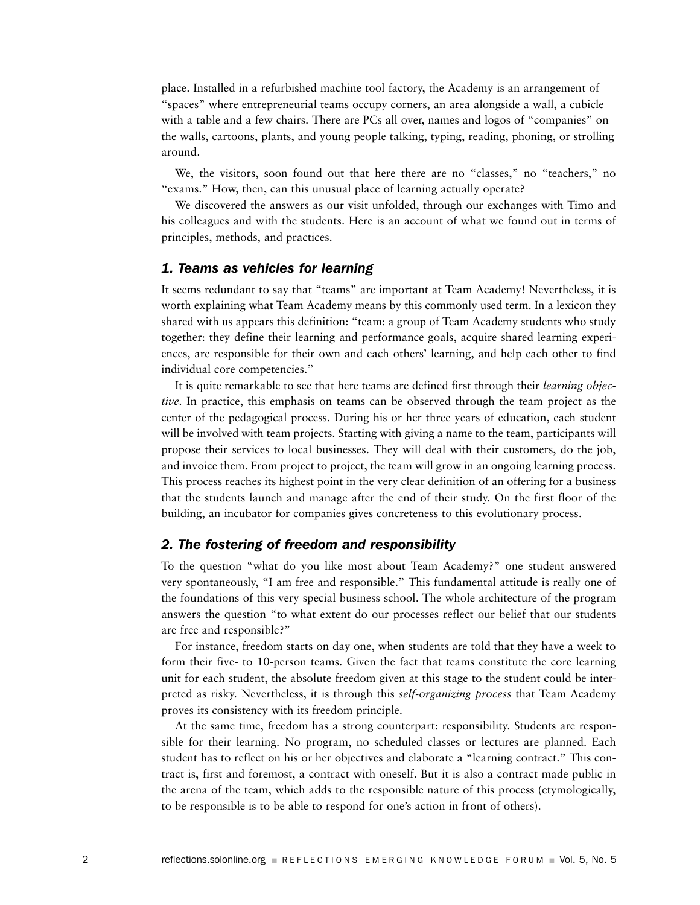place. Installed in a refurbished machine tool factory, the Academy is an arrangement of "spaces" where entrepreneurial teams occupy corners, an area alongside a wall, a cubicle with a table and a few chairs. There are PCs all over, names and logos of "companies" on the walls, cartoons, plants, and young people talking, typing, reading, phoning, or strolling around.

We, the visitors, soon found out that here there are no "classes," no "teachers," no "exams." How, then, can this unusual place of learning actually operate?

We discovered the answers as our visit unfolded, through our exchanges with Timo and his colleagues and with the students. Here is an account of what we found out in terms of principles, methods, and practices.

### *1. Teams as vehicles for learning*

It seems redundant to say that "teams" are important at Team Academy! Nevertheless, it is worth explaining what Team Academy means by this commonly used term. In a lexicon they shared with us appears this definition: "team: a group of Team Academy students who study together: they define their learning and performance goals, acquire shared learning experiences, are responsible for their own and each others' learning, and help each other to find individual core competencies."

It is quite remarkable to see that here teams are defined first through their *learning objective.* In practice, this emphasis on teams can be observed through the team project as the center of the pedagogical process. During his or her three years of education, each student will be involved with team projects. Starting with giving a name to the team, participants will propose their services to local businesses. They will deal with their customers, do the job, and invoice them. From project to project, the team will grow in an ongoing learning process. This process reaches its highest point in the very clear definition of an offering for a business that the students launch and manage after the end of their study. On the first floor of the building, an incubator for companies gives concreteness to this evolutionary process.

### *2. The fostering of freedom and responsibility*

To the question "what do you like most about Team Academy?" one student answered very spontaneously, "I am free and responsible." This fundamental attitude is really one of the foundations of this very special business school. The whole architecture of the program answers the question "to what extent do our processes reflect our belief that our students are free and responsible?"

For instance, freedom starts on day one, when students are told that they have a week to form their five- to 10-person teams. Given the fact that teams constitute the core learning unit for each student, the absolute freedom given at this stage to the student could be interpreted as risky. Nevertheless, it is through this *self-organizing process* that Team Academy proves its consistency with its freedom principle.

At the same time, freedom has a strong counterpart: responsibility. Students are responsible for their learning. No program, no scheduled classes or lectures are planned. Each student has to reflect on his or her objectives and elaborate a "learning contract." This contract is, first and foremost, a contract with oneself. But it is also a contract made public in the arena of the team, which adds to the responsible nature of this process (etymologically, to be responsible is to be able to respond for one's action in front of others).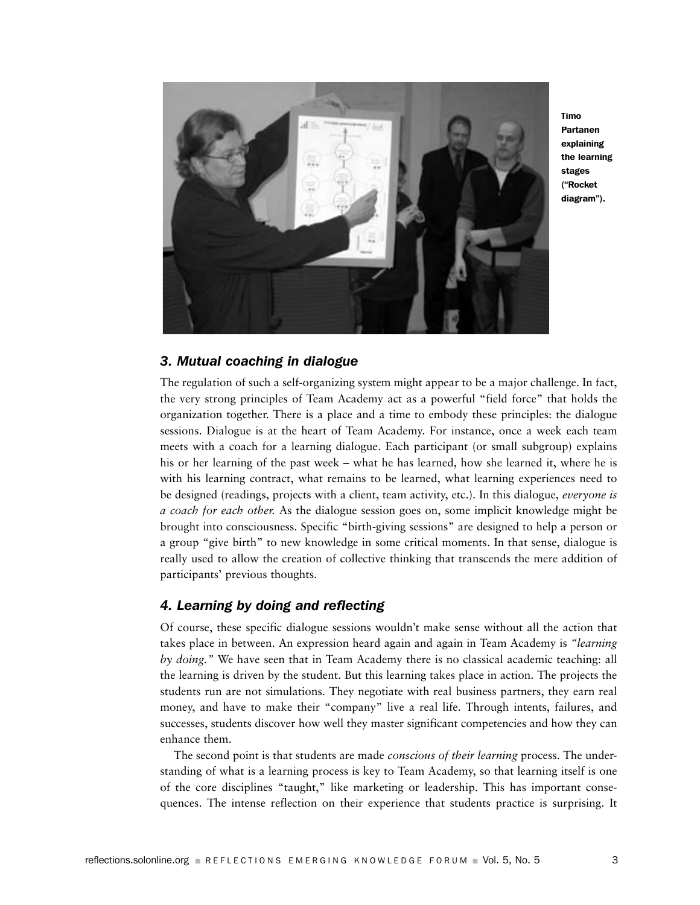

Timo Partanen explaining the learning stages ("Rocket diagram").

### *3. Mutual coaching in dialogue*

The regulation of such a self-organizing system might appear to be a major challenge. In fact, the very strong principles of Team Academy act as a powerful "field force" that holds the organization together. There is a place and a time to embody these principles: the dialogue sessions. Dialogue is at the heart of Team Academy. For instance, once a week each team meets with a coach for a learning dialogue. Each participant (or small subgroup) explains his or her learning of the past week – what he has learned, how she learned it, where he is with his learning contract, what remains to be learned, what learning experiences need to be designed (readings, projects with a client, team activity, etc.). In this dialogue, *everyone is a coach for each other.* As the dialogue session goes on, some implicit knowledge might be brought into consciousness. Specific "birth-giving sessions" are designed to help a person or a group "give birth" to new knowledge in some critical moments. In that sense, dialogue is really used to allow the creation of collective thinking that transcends the mere addition of participants' previous thoughts.

### *4. Learning by doing and reflecting*

Of course, these specific dialogue sessions wouldn't make sense without all the action that takes place in between. An expression heard again and again in Team Academy is *"learning by doing."* We have seen that in Team Academy there is no classical academic teaching: all the learning is driven by the student. But this learning takes place in action. The projects the students run are not simulations. They negotiate with real business partners, they earn real money, and have to make their "company" live a real life. Through intents, failures, and successes, students discover how well they master significant competencies and how they can enhance them.

The second point is that students are made *conscious of their learning* process. The understanding of what is a learning process is key to Team Academy, so that learning itself is one of the core disciplines "taught," like marketing or leadership. This has important consequences. The intense reflection on their experience that students practice is surprising. It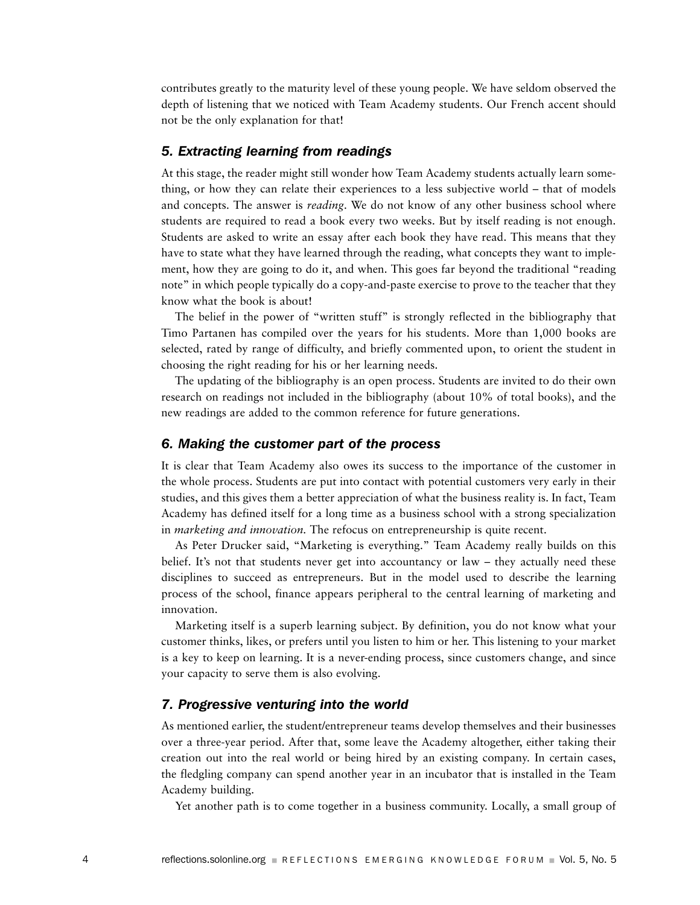contributes greatly to the maturity level of these young people. We have seldom observed the depth of listening that we noticed with Team Academy students. Our French accent should not be the only explanation for that!

### *5. Extracting learning from readings*

At this stage, the reader might still wonder how Team Academy students actually learn something, or how they can relate their experiences to a less subjective world – that of models and concepts. The answer is *reading*. We do not know of any other business school where students are required to read a book every two weeks. But by itself reading is not enough. Students are asked to write an essay after each book they have read. This means that they have to state what they have learned through the reading, what concepts they want to implement, how they are going to do it, and when. This goes far beyond the traditional "reading note" in which people typically do a copy-and-paste exercise to prove to the teacher that they know what the book is about!

The belief in the power of "written stuff" is strongly reflected in the bibliography that Timo Partanen has compiled over the years for his students. More than 1,000 books are selected, rated by range of difficulty, and briefly commented upon, to orient the student in choosing the right reading for his or her learning needs.

The updating of the bibliography is an open process. Students are invited to do their own research on readings not included in the bibliography (about 10% of total books), and the new readings are added to the common reference for future generations.

### *6. Making the customer part of the process*

It is clear that Team Academy also owes its success to the importance of the customer in the whole process. Students are put into contact with potential customers very early in their studies, and this gives them a better appreciation of what the business reality is. In fact, Team Academy has defined itself for a long time as a business school with a strong specialization in *marketing and innovation.* The refocus on entrepreneurship is quite recent.

As Peter Drucker said, "Marketing is everything." Team Academy really builds on this belief. It's not that students never get into accountancy or law – they actually need these disciplines to succeed as entrepreneurs. But in the model used to describe the learning process of the school, finance appears peripheral to the central learning of marketing and innovation.

Marketing itself is a superb learning subject. By definition, you do not know what your customer thinks, likes, or prefers until you listen to him or her. This listening to your market is a key to keep on learning. It is a never-ending process, since customers change, and since your capacity to serve them is also evolving.

### *7. Progressive venturing into the world*

As mentioned earlier, the student/entrepreneur teams develop themselves and their businesses over a three-year period. After that, some leave the Academy altogether, either taking their creation out into the real world or being hired by an existing company. In certain cases, the fledgling company can spend another year in an incubator that is installed in the Team Academy building.

Yet another path is to come together in a business community. Locally, a small group of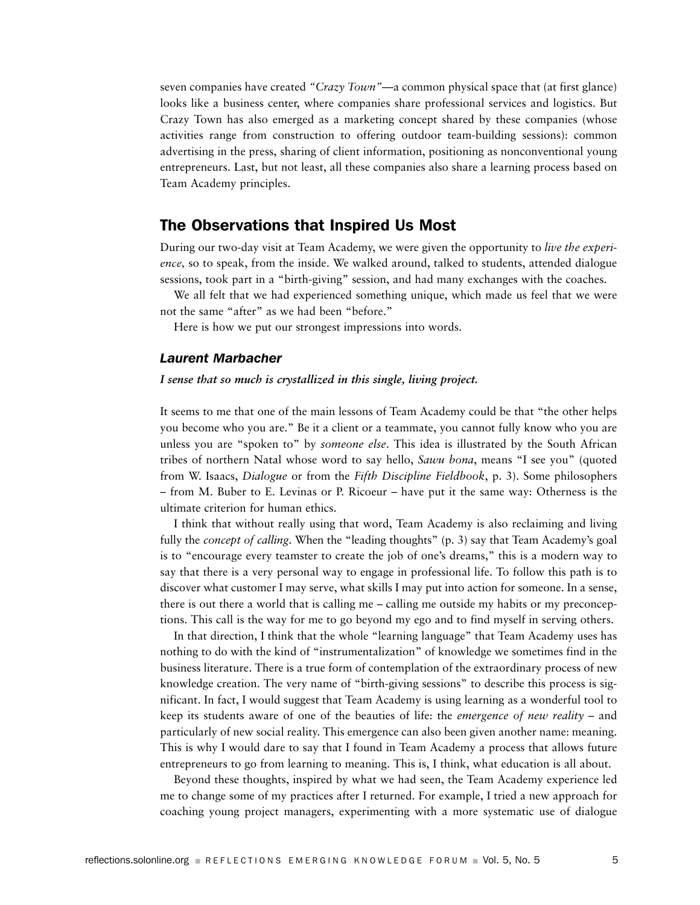seven companies have created *"Crazy Town"*—a common physical space that (at first glance) looks like a business center, where companies share professional services and logistics. But Crazy Town has also emerged as a marketing concept shared by these companies (whose activities range from construction to offering outdoor team-building sessions): common advertising in the press, sharing of client information, positioning as nonconventional young entrepreneurs. Last, but not least, all these companies also share a learning process based on Team Academy principles.

### The Observations that Inspired Us Most

During our two-day visit at Team Academy, we were given the opportunity to *live the experience,* so to speak, from the inside. We walked around, talked to students, attended dialogue sessions, took part in a "birth-giving" session, and had many exchanges with the coaches.

We all felt that we had experienced something unique, which made us feel that we were not the same "after" as we had been "before."

Here is how we put our strongest impressions into words.

### *Laurent Marbacher*

### *I sense that so much is crystallized in this single, living project.*

It seems to me that one of the main lessons of Team Academy could be that "the other helps you become who you are." Be it a client or a teammate, you cannot fully know who you are unless you are "spoken to" by *someone else*. This idea is illustrated by the South African tribes of northern Natal whose word to say hello, *Sawu bona*, means "I see you" (quoted from W. Isaacs, *Dialogue* or from the *Fifth Discipline Fieldbook*, p. 3). Some philosophers – from M. Buber to E. Levinas or P. Ricoeur – have put it the same way: Otherness is the ultimate criterion for human ethics.

I think that without really using that word, Team Academy is also reclaiming and living fully the *concept of calling*. When the "leading thoughts" (p. 3) say that Team Academy's goal is to "encourage every teamster to create the job of one's dreams," this is a modern way to say that there is a very personal way to engage in professional life. To follow this path is to discover what customer I may serve, what skills I may put into action for someone. In a sense, there is out there a world that is calling me – calling me outside my habits or my preconceptions. This call is the way for me to go beyond my ego and to find myself in serving others.

In that direction, I think that the whole "learning language" that Team Academy uses has nothing to do with the kind of "instrumentalization" of knowledge we sometimes find in the business literature. There is a true form of contemplation of the extraordinary process of new knowledge creation. The very name of "birth-giving sessions" to describe this process is significant. In fact, I would suggest that Team Academy is using learning as a wonderful tool to keep its students aware of one of the beauties of life: the *emergence of new reality* – and particularly of new social reality. This emergence can also been given another name: meaning. This is why I would dare to say that I found in Team Academy a process that allows future entrepreneurs to go from learning to meaning. This is, I think, what education is all about.

Beyond these thoughts, inspired by what we had seen, the Team Academy experience led me to change some of my practices after I returned. For example, I tried a new approach for coaching young project managers, experimenting with a more systematic use of dialogue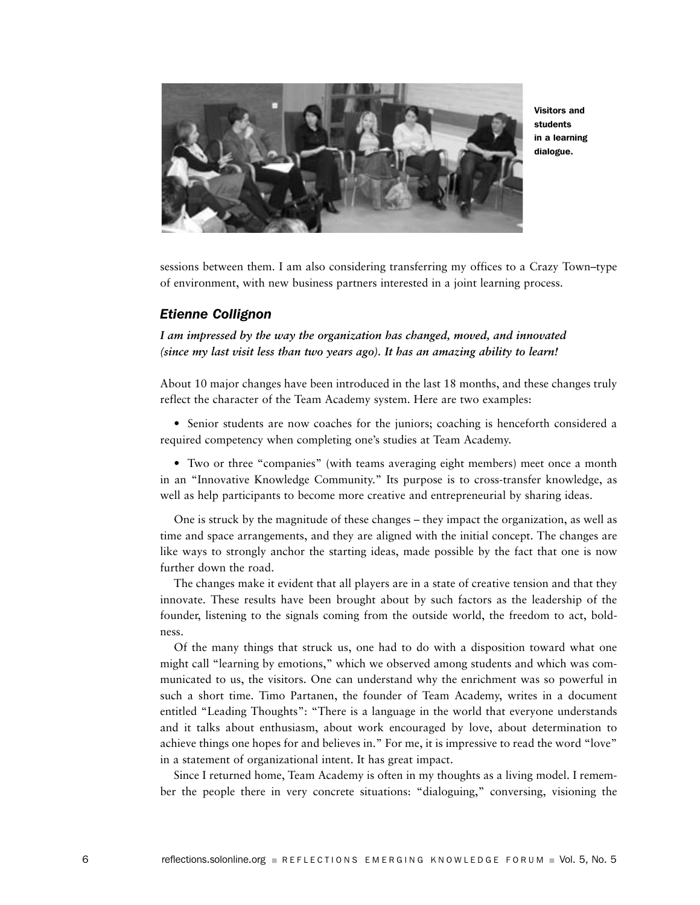

Visitors and students in a learning dialogue.

sessions between them. I am also considering transferring my offices to a Crazy Town–type of environment, with new business partners interested in a joint learning process.

### *Etienne Collignon*

*I am impressed by the way the organization has changed, moved, and innovated (since my last visit less than two years ago). It has an amazing ability to learn!*

About 10 major changes have been introduced in the last 18 months, and these changes truly reflect the character of the Team Academy system. Here are two examples:

• Senior students are now coaches for the juniors; coaching is henceforth considered a required competency when completing one's studies at Team Academy.

• Two or three "companies" (with teams averaging eight members) meet once a month in an "Innovative Knowledge Community." Its purpose is to cross-transfer knowledge, as well as help participants to become more creative and entrepreneurial by sharing ideas.

One is struck by the magnitude of these changes – they impact the organization, as well as time and space arrangements, and they are aligned with the initial concept. The changes are like ways to strongly anchor the starting ideas, made possible by the fact that one is now further down the road.

The changes make it evident that all players are in a state of creative tension and that they innovate. These results have been brought about by such factors as the leadership of the founder, listening to the signals coming from the outside world, the freedom to act, boldness.

Of the many things that struck us, one had to do with a disposition toward what one might call "learning by emotions," which we observed among students and which was communicated to us, the visitors. One can understand why the enrichment was so powerful in such a short time. Timo Partanen, the founder of Team Academy, writes in a document entitled "Leading Thoughts": "There is a language in the world that everyone understands and it talks about enthusiasm, about work encouraged by love, about determination to achieve things one hopes for and believes in." For me, it is impressive to read the word "love" in a statement of organizational intent. It has great impact.

Since I returned home, Team Academy is often in my thoughts as a living model. I remember the people there in very concrete situations: "dialoguing," conversing, visioning the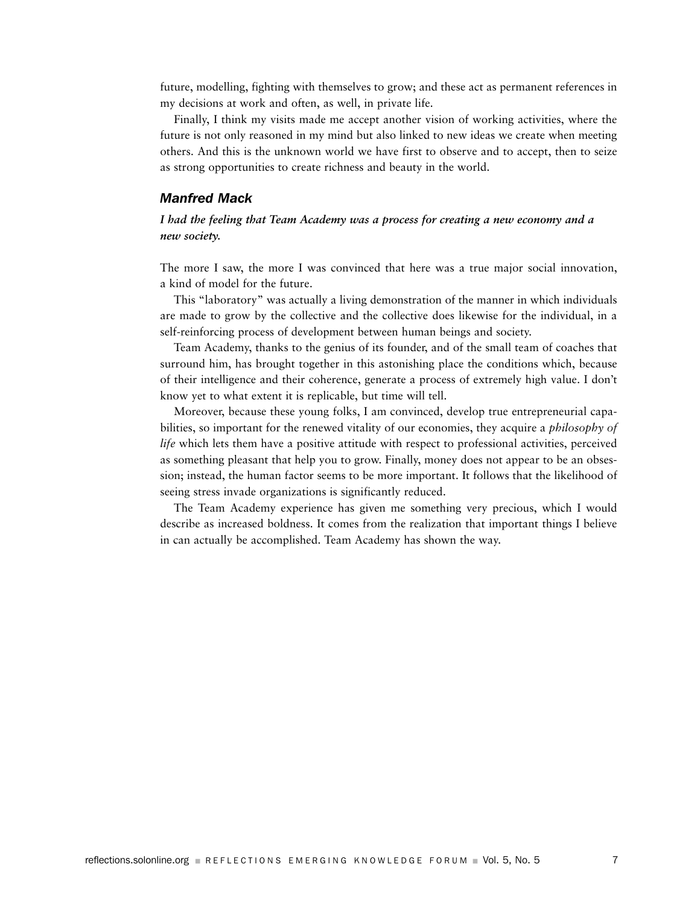future, modelling, fighting with themselves to grow; and these act as permanent references in my decisions at work and often, as well, in private life.

Finally, I think my visits made me accept another vision of working activities, where the future is not only reasoned in my mind but also linked to new ideas we create when meeting others. And this is the unknown world we have first to observe and to accept, then to seize as strong opportunities to create richness and beauty in the world.

### *Manfred Mack*

### *I had the feeling that Team Academy was a process for creating a new economy and a new society.*

The more I saw, the more I was convinced that here was a true major social innovation, a kind of model for the future.

This "laboratory" was actually a living demonstration of the manner in which individuals are made to grow by the collective and the collective does likewise for the individual, in a self-reinforcing process of development between human beings and society.

Team Academy, thanks to the genius of its founder, and of the small team of coaches that surround him, has brought together in this astonishing place the conditions which, because of their intelligence and their coherence, generate a process of extremely high value. I don't know yet to what extent it is replicable, but time will tell.

Moreover, because these young folks, I am convinced, develop true entrepreneurial capabilities, so important for the renewed vitality of our economies, they acquire a *philosophy of life* which lets them have a positive attitude with respect to professional activities, perceived as something pleasant that help you to grow. Finally, money does not appear to be an obsession; instead, the human factor seems to be more important. It follows that the likelihood of seeing stress invade organizations is significantly reduced.

The Team Academy experience has given me something very precious, which I would describe as increased boldness. It comes from the realization that important things I believe in can actually be accomplished. Team Academy has shown the way.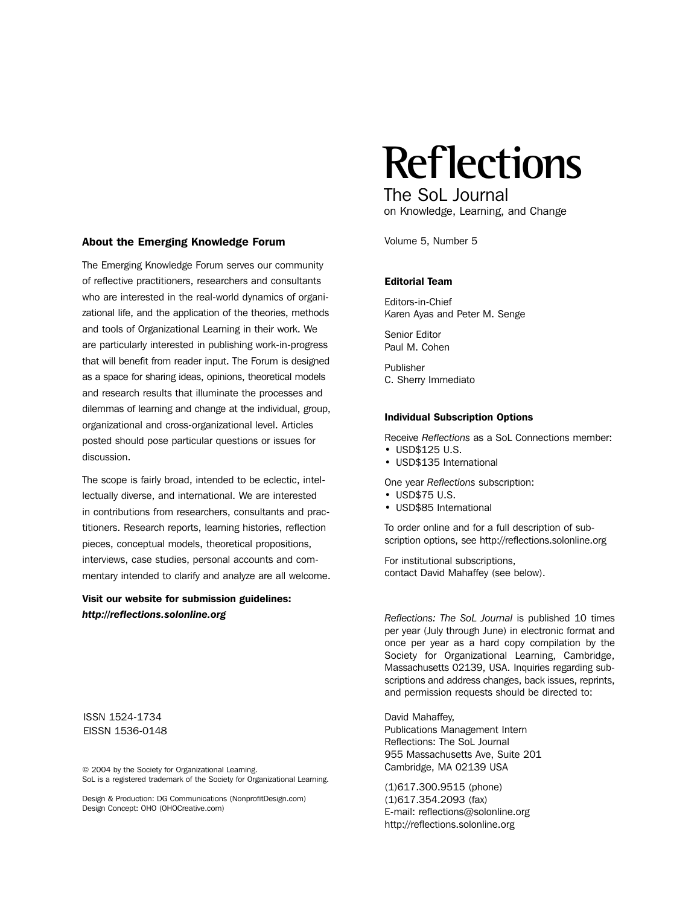#### About the Emerging Knowledge Forum

The Emerging Knowledge Forum serves our community of reflective practitioners, researchers and consultants who are interested in the real-world dynamics of organizational life, and the application of the theories, methods and tools of Organizational Learning in their work. We are particularly interested in publishing work-in-progress that will benefit from reader input. The Forum is designed as a space for sharing ideas, opinions, theoretical models and research results that illuminate the processes and dilemmas of learning and change at the individual, group, organizational and cross-organizational level. Articles posted should pose particular questions or issues for discussion.

The scope is fairly broad, intended to be eclectic, intellectually diverse, and international. We are interested in contributions from researchers, consultants and practitioners. Research reports, learning histories, reflection pieces, conceptual models, theoretical propositions, interviews, case studies, personal accounts and commentary intended to clarify and analyze are all welcome.

Visit our website for submission guidelines: *http://reflections.solonline.org*

ISSN 1524-1734 EISSN 1536-0148

© 2004 by the Society for Organizational Learning. SoL is a registered trademark of the Society for Organizational Learning.

Design & Production: DG Communications (NonprofitDesign.com) Design Concept: OHO (OHOCreative.com)

**Reflections**

The SoL Journal on Knowledge, Learning, and Change

Volume 5, Number 5

### Editorial Team

Editors-in-Chief Karen Ayas and Peter M. Senge

Senior Editor Paul M. Cohen

Publisher C. Sherry Immediato

#### Individual Subscription Options

Receive *Reflections* as a SoL Connections member:

- USD\$125 U.S.
- USD\$135 International

One year *Reflections* subscription:

- USD\$75 U.S.
- USD\$85 International

To order online and for a full description of subscription options, see http://reflections.solonline.org

For institutional subscriptions, contact David Mahaffey (see below).

*Reflections: The SoL Journal* is published 10 times per year (July through June) in electronic format and once per year as a hard copy compilation by the Society for Organizational Learning, Cambridge, Massachusetts 02139, USA. Inquiries regarding subscriptions and address changes, back issues, reprints, and permission requests should be directed to:

David Mahaffey, Publications Management Intern Reflections: The SoL Journal 955 Massachusetts Ave, Suite 201 Cambridge, MA 02139 USA

(1)617.300.9515 (phone) (1)617.354.2093 (fax) E-mail: reflections@solonline.org http://reflections.solonline.org